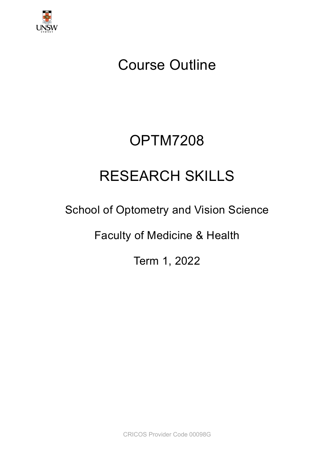

# Course Outline

# OPTM7208

# RESEARCH SKILLS

# School of Optometry and Vision Science

Faculty of Medicine & Health

Term 1, 2022

CRICOS Provider Code 00098G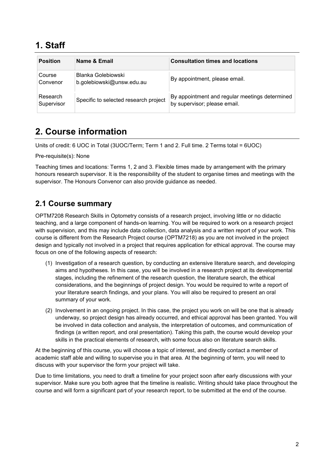### **1. Staff**

| <b>Position</b>        | Name & Email                                    | <b>Consultation times and locations</b>                                        |
|------------------------|-------------------------------------------------|--------------------------------------------------------------------------------|
| Course<br>Convenor     | Blanka Golebiowski<br>b.golebiowski@unsw.edu.au | By appointment, please email.                                                  |
| Research<br>Supervisor | Specific to selected research project           | By appointment and regular meetings determined<br>by supervisor; please email. |

## **2. Course information**

Units of credit: 6 UOC in Total (3UOC/Term; Term 1 and 2. Full time. 2 Terms total = 6UOC)

Pre-requisite(s): None

Teaching times and locations: Terms 1, 2 and 3. Flexible times made by arrangement with the primary honours research supervisor. It is the responsibility of the student to organise times and meetings with the supervisor. The Honours Convenor can also provide guidance as needed.

### **2.1 Course summary**

OPTM7208 Research Skills in Optometry consists of a research project, involving little or no didactic teaching, and a large component of hands-on learning. You will be required to work on a research project with supervision, and this may include data collection, data analysis and a written report of your work. This course is different from the Research Project course (OPTM7218) as you are not involved in the project design and typically not involved in a project that requires application for ethical approval. The course may focus on one of the following aspects of research:

- (1) Investigation of a research question, by conducting an extensive literature search, and developing aims and hypotheses. In this case, you will be involved in a research project at its developmental stages, including the refinement of the research question, the literature search, the ethical considerations, and the beginnings of project design. You would be required to write a report of your literature search findings, and your plans. You will also be required to present an oral summary of your work.
- (2) Involvement in an ongoing project. In this case, the project you work on will be one that is already underway, so project design has already occurred, and ethical approval has been granted. You will be involved in data collection and analysis, the interpretation of outcomes, and communication of findings (a written report, and oral presentation). Taking this path, the course would develop your skills in the practical elements of research, with some focus also on literature search skills.

At the beginning of this course, you will choose a topic of interest, and directly contact a member of academic staff able and willing to supervise you in that area. At the beginning of term, you will need to discuss with your supervisor the form your project will take.

Due to time limitations, you need to draft a timeline for your project soon after early discussions with your supervisor. Make sure you both agree that the timeline is realistic. Writing should take place throughout the course and will form a significant part of your research report, to be submitted at the end of the course.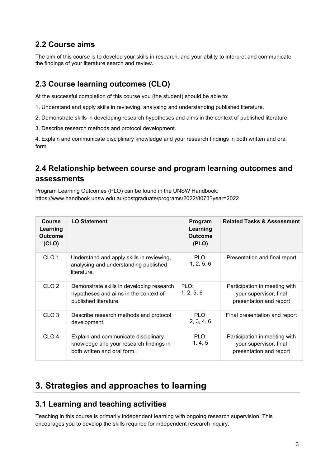### **2.2 Course aims**

The aim of this course is to develop your skills in research, and your ability to interpret and communicate the findings of your literature search and review.

### **2.3 Course learning outcomes (CLO)**

At the successful completion of this course you (the student) should be able to:

- 1. Understand and apply skills in reviewing, analysing and understanding published literature.
- 2. Demonstrate skills in developing research hypotheses and aims in the context of published literature.
- 3. Describe research methods and protocol development.

4. Explain and communicate disciplinary knowledge and your research findings in both written and oral form.

### **2.4 Relationship between course and program learning outcomes and assessments**

Program Learning Outcomes (PLO) can be found in the UNSW Handbook: https://www.handbook.unsw.edu.au/postgraduate/programs/2022/8073?year=2022

| <b>Course</b><br>Learning<br><b>Outcome</b><br>(CLO) | <b>LO Statement</b>                                                                                            | Program<br>Learning<br><b>Outcome</b><br>(PLO) | <b>Related Tasks &amp; Assessment</b>                                              |
|------------------------------------------------------|----------------------------------------------------------------------------------------------------------------|------------------------------------------------|------------------------------------------------------------------------------------|
| CLO <sub>1</sub>                                     | Understand and apply skills in reviewing,<br>analysing and understanding published<br>literature.              | PLO:<br>1, 2, 5, 6                             | Presentation and final report                                                      |
| CLO <sub>2</sub>                                     | Demonstrate skills in developing research<br>hypotheses and aims in the context of<br>published literature.    | פ∟י<br>1, 2, 5, 6                              | Participation in meeting with<br>your supervisor, final<br>presentation and report |
| CLO <sub>3</sub>                                     | Describe research methods and protocol<br>development.                                                         | PLO:<br>2, 3, 4, 6                             | Final presentation and report                                                      |
| CLO <sub>4</sub>                                     | Explain and communicate disciplinary<br>knowledge and your research findings in<br>both written and oral form. | PLO:<br>1, 4, 5                                | Participation in meeting with<br>your supervisor, final<br>presentation and report |

## **3. Strategies and approaches to learning**

#### **3.1 Learning and teaching activities**

Teaching in this course is primarily independent learning with ongoing research supervision. This encourages you to develop the skills required for independent research inquiry.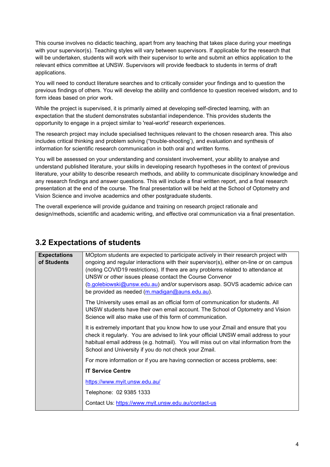This course involves no didactic teaching, apart from any teaching that takes place during your meetings with your supervisor(s). Teaching styles will vary between supervisors. If applicable for the research that will be undertaken, students will work with their supervisor to write and submit an ethics application to the relevant ethics committee at UNSW. Supervisors will provide feedback to students in terms of draft applications.

You will need to conduct literature searches and to critically consider your findings and to question the previous findings of others. You will develop the ability and confidence to question received wisdom, and to form ideas based on prior work.

While the project is supervised, it is primarily aimed at developing self-directed learning, with an expectation that the student demonstrates substantial independence. This provides students the opportunity to engage in a project similar to 'real-world' research experiences.

The research project may include specialised techniques relevant to the chosen research area. This also includes critical thinking and problem solving ("trouble-shooting'), and evaluation and synthesis of information for scientific research communication in both oral and written forms.

You will be assessed on your understanding and consistent involvement, your ability to analyse and understand published literature, your skills in developing research hypotheses in the context of previous literature, your ability to describe research methods, and ability to communicate disciplinary knowledge and any research findings and answer questions. This will include a final written report, and a final research presentation at the end of the course. The final presentation will be held at the School of Optometry and Vision Science and involve academics and other postgraduate students.

The overall experience will provide guidance and training on research project rationale and design/methods, scientific and academic writing, and effective oral communication via a final presentation.

#### **3.2 Expectations of students**

| <b>Expectations</b>                                                                                                                                                                                                                                                                                                                                                                      | MOptom students are expected to participate actively in their research project with                                                                                                                                                                                                                                          |
|------------------------------------------------------------------------------------------------------------------------------------------------------------------------------------------------------------------------------------------------------------------------------------------------------------------------------------------------------------------------------------------|------------------------------------------------------------------------------------------------------------------------------------------------------------------------------------------------------------------------------------------------------------------------------------------------------------------------------|
| of Students<br>ongoing and regular interactions with their supervisor(s), either on-line or on campus<br>(noting COVID19 restrictions). If there are any problems related to attendance at<br>UNSW or other issues please contact the Course Convenor<br>(b.golebiowski@unsw.edu.au) and/or supervisors asap. SOVS academic advice can<br>be provided as needed (m.madigan@auns.edu.au). |                                                                                                                                                                                                                                                                                                                              |
|                                                                                                                                                                                                                                                                                                                                                                                          | The University uses email as an official form of communication for students. All<br>UNSW students have their own email account. The School of Optometry and Vision<br>Science will also make use of this form of communication.                                                                                              |
|                                                                                                                                                                                                                                                                                                                                                                                          | It is extremely important that you know how to use your Zmail and ensure that you<br>check it regularly. You are advised to link your official UNSW email address to your<br>habitual email address (e.g. hotmail). You will miss out on vital information from the<br>School and University if you do not check your Zmail. |
|                                                                                                                                                                                                                                                                                                                                                                                          | For more information or if you are having connection or access problems, see:                                                                                                                                                                                                                                                |
|                                                                                                                                                                                                                                                                                                                                                                                          | <b>IT Service Centre</b>                                                                                                                                                                                                                                                                                                     |
|                                                                                                                                                                                                                                                                                                                                                                                          | https://www.myit.unsw.edu.au/                                                                                                                                                                                                                                                                                                |
|                                                                                                                                                                                                                                                                                                                                                                                          | Telephone: 02 9385 1333                                                                                                                                                                                                                                                                                                      |
|                                                                                                                                                                                                                                                                                                                                                                                          | Contact Us: https://www.myit.unsw.edu.au/contact-us                                                                                                                                                                                                                                                                          |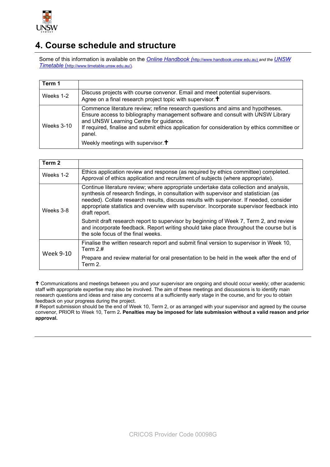

### **4. Course schedule and structure**

Some of this information is available on the *Online Handbook (*http://www.handbook.unsw.edu.au) *and the UNSW Timetable* [\(http://www.timetable.unsw.edu.au/\)](http://www.timetable.unsw.edu.au/).

| Term 1       |                                                                                                                                                                                                                                                                                                                       |
|--------------|-----------------------------------------------------------------------------------------------------------------------------------------------------------------------------------------------------------------------------------------------------------------------------------------------------------------------|
| Weeks 1-2    | Discuss projects with course convenor. Email and meet potential supervisors.<br>Agree on a final research project topic with supervisor. +                                                                                                                                                                            |
| Weeks $3-10$ | Commence literature review; refine research questions and aims and hypotheses.<br>Ensure access to bibliography management software and consult with UNSW Library<br>and UNSW Learning Centre for guidance.<br>If required, finalise and submit ethics application for consideration by ethics committee or<br>panel. |
|              | Weekly meetings with supervisor. $\dagger$                                                                                                                                                                                                                                                                            |

| Term 2    |                                                                                                                                                                                                                                                                                                                                                                                        |
|-----------|----------------------------------------------------------------------------------------------------------------------------------------------------------------------------------------------------------------------------------------------------------------------------------------------------------------------------------------------------------------------------------------|
| Weeks 1-2 | Ethics application review and response (as required by ethics committee) completed.<br>Approval of ethics application and recruitment of subjects (where appropriate).                                                                                                                                                                                                                 |
| Weeks 3-8 | Continue literature review; where appropriate undertake data collection and analysis,<br>synthesis of research findings, in consultation with supervisor and statistician (as<br>needed). Collate research results, discuss results with supervisor. If needed, consider<br>appropriate statistics and overview with supervisor. Incorporate supervisor feedback into<br>draft report. |
|           | Submit draft research report to supervisor by beginning of Week 7, Term 2, and review<br>and incorporate feedback. Report writing should take place throughout the course but is<br>the sole focus of the final weeks.                                                                                                                                                                 |
| Week 9-10 | Finalise the written research report and submit final version to supervisor in Week 10,<br>Term $2.#$                                                                                                                                                                                                                                                                                  |
|           | Prepare and review material for oral presentation to be held in the week after the end of<br>Term 2.                                                                                                                                                                                                                                                                                   |

<sup>+</sup> Communications and meetings between you and your supervisor are ongoing and should occur weekly; other academic staff with appropriate expertise may also be involved. The aim of these meetings and discussions is to identify main research questions and ideas and raise any concerns at a sufficiently early stage in the course, and for you to obtain feedback on your progress during the project.

# Report submission should be the end of Week 10, Term 2, or as arranged with your supervisor and agreed by the course convenor, PRIOR to Week 10, Term 2**. Penalties may be imposed for late submission without a valid reason and prior approval.**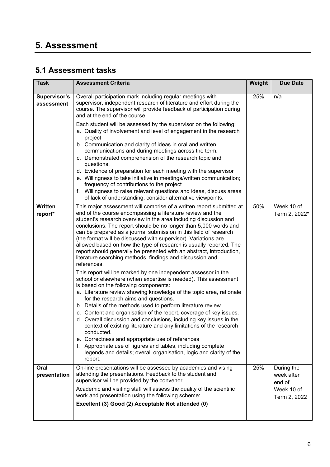## **5. Assessment**

### **5.1 Assessment tasks**

| <b>Task</b>                | <b>Assessment Criteria</b>                                                                                                                                                                                                                                                                                                                                                                                                                                                                                                                                                                                                                                                                                                                                                                                                                                                                                                                                                                                                                                                                                                                                                                                                                                                                                                                                                                                                                    | Weight | <b>Due Date</b>                                                  |
|----------------------------|-----------------------------------------------------------------------------------------------------------------------------------------------------------------------------------------------------------------------------------------------------------------------------------------------------------------------------------------------------------------------------------------------------------------------------------------------------------------------------------------------------------------------------------------------------------------------------------------------------------------------------------------------------------------------------------------------------------------------------------------------------------------------------------------------------------------------------------------------------------------------------------------------------------------------------------------------------------------------------------------------------------------------------------------------------------------------------------------------------------------------------------------------------------------------------------------------------------------------------------------------------------------------------------------------------------------------------------------------------------------------------------------------------------------------------------------------|--------|------------------------------------------------------------------|
| Supervisor's<br>assessment | Overall participation mark including regular meetings with<br>supervisor, independent research of literature and effort during the<br>course. The supervisor will provide feedback of participation during<br>and at the end of the course<br>Each student will be assessed by the supervisor on the following:<br>a. Quality of involvement and level of engagement in the research<br>project<br>b. Communication and clarity of ideas in oral and written<br>communications and during meetings across the term.<br>c. Demonstrated comprehension of the research topic and<br>questions.<br>d. Evidence of preparation for each meeting with the supervisor<br>e. Willingness to take initiative in meetings/written communication;<br>frequency of contributions to the project<br>f. Willingness to raise relevant questions and ideas, discuss areas<br>of lack of understanding, consider alternative viewpoints.                                                                                                                                                                                                                                                                                                                                                                                                                                                                                                                     | 25%    | n/a                                                              |
| Written<br>report*         | This major assessment will comprise of a written report submitted at<br>end of the course encompassing a literature review and the<br>student's research overview in the area including discussion and<br>conclusions. The report should be no longer than 5,000 words and<br>can be prepared as a journal submission in this field of research<br>(the format will be discussed with supervisor). Variations are<br>allowed based on how the type of research is usually reported. The<br>report should generally be presented with an abstract, introduction,<br>literature searching methods, findings and discussion and<br>references.<br>This report will be marked by one independent assessor in the<br>school or elsewhere (when expertise is needed). This assessment<br>is based on the following components:<br>a. Literature review showing knowledge of the topic area, rationale<br>for the research aims and questions.<br>b. Details of the methods used to perform literature review.<br>c. Content and organisation of the report, coverage of key issues.<br>d. Overall discussion and conclusions, including key issues in the<br>context of existing literature and any limitations of the research<br>conducted.<br>e. Correctness and appropriate use of references<br>f. Appropriate use of figures and tables, including complete<br>legends and details; overall organisation, logic and clarity of the<br>report. | 50%    | Week 10 of<br>Term 2, 2022*                                      |
| Oral<br>presentation       | On-line presentations will be assessed by academics and vising<br>attending the presentations. Feedback to the student and<br>supervisor will be provided by the convenor.<br>Academic and visiting staff will assess the quality of the scientific<br>work and presentation using the following scheme:<br>Excellent (3) Good (2) Acceptable Not attended (0)                                                                                                                                                                                                                                                                                                                                                                                                                                                                                                                                                                                                                                                                                                                                                                                                                                                                                                                                                                                                                                                                                | 25%    | During the<br>week after<br>end of<br>Week 10 of<br>Term 2, 2022 |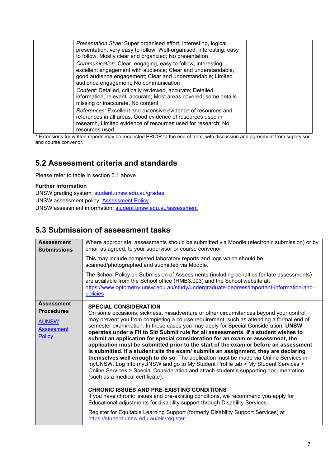| Presentation Style: Super organised effort, interesting, logical<br>presentation, very easy to follow; Well-organised, interesting, easy<br>to follow; Mostly clear and organized; No presentation                                    |  |
|---------------------------------------------------------------------------------------------------------------------------------------------------------------------------------------------------------------------------------------|--|
| Communication: Clear, engaging, easy to follow, interesting,<br>excellent engagement with audience; Clear and understandable,<br>good audience engagement; Clear and understandable; Limited<br>audience engagement; No communication |  |
| Content: Detailed, critically reviewed, accurate; Detailed<br>information, relevant, accurate; Most areas covered, some details<br>missing or inaccurate, No content                                                                  |  |
| References: Excellent and extensive evidence of resources and<br>references in all areas, Good evidence of resources used in<br>research, Limited evidence of resources used for research; No<br>resources used                       |  |

\* Extensions for written reports may be requested PRIOR to the end of term, with discussion and agreement from supervisor and course convenor.

### **5.2 Assessment criteria and standards**

Please refer to table in section 5.1 above

#### **Further information**

UNSW grading system: [student.unsw.edu.au/grades](https://student.unsw.edu.au/grades) UNSW assessment policy: [Assessment Policy](https://www.gs.unsw.edu.au/policy/documents/assessmentpolicy.pdf) UNSW assessment information: [student.unsw.edu.au/assessment](https://student.unsw.edu.au/assessment)

### **5.3 Submission of assessment tasks**

| <b>Submissions</b>                                                                    | email as agreed, to your supervisor or course convenor.<br>This may include completed laboratory reports and logs which should be<br>scanned/photographed and submitted via Moodle.<br>The School Policy on Submission of Assessments (including penalties for late assessments)<br>are available from the School office (RMB3.003) and the School website at:<br>https://www.optometry.unsw.edu.au/study/undergraduate-degrees/important-information-and-<br>policies                                                                                                                                                                                                                                                                                                                                                                                                                                                                                                                                                                                                                                                                                                                                                                                                                                                             |
|---------------------------------------------------------------------------------------|------------------------------------------------------------------------------------------------------------------------------------------------------------------------------------------------------------------------------------------------------------------------------------------------------------------------------------------------------------------------------------------------------------------------------------------------------------------------------------------------------------------------------------------------------------------------------------------------------------------------------------------------------------------------------------------------------------------------------------------------------------------------------------------------------------------------------------------------------------------------------------------------------------------------------------------------------------------------------------------------------------------------------------------------------------------------------------------------------------------------------------------------------------------------------------------------------------------------------------------------------------------------------------------------------------------------------------|
| <b>Assessment</b><br><b>Procedures</b><br><b>AUNSW</b><br><b>Assessment</b><br>Policy | <b>SPECIAL CONSIDERATION</b><br>On some occasions, sickness, misadventure or other circumstances beyond your control<br>may prevent you from completing a course requirement, such as attending a formal end of<br>semester examination. In these cases you may apply for Special Consideration. UNSW<br>operates under a Fit to Sit/ Submit rule for all assessments. If a student wishes to<br>submit an application for special consideration for an exam or assessment, the<br>application must be submitted prior to the start of the exam or before an assessment<br>is submitted. If a student sits the exam/ submits an assignment, they are declaring<br>themselves well enough to do so. The application must be made via Online Services in<br>myUNSW. Log into myUNSW and go to My Student Profile tab > My Student Services ><br>Online Services > Special Consideration and attach student's supporting documentation<br>(such as a medical certificate).<br><b>CHRONIC ISSUES AND PRE-EXISTING CONDITIONS</b><br>If you have chronic issues and pre-existing conditions, we recommend you apply for<br>Educational adjustments for disability support through Disability Services.<br>Register for Equitable Learning Support (formerly Disability Support Services) at<br>https://student.unsw.edu.au/els/register |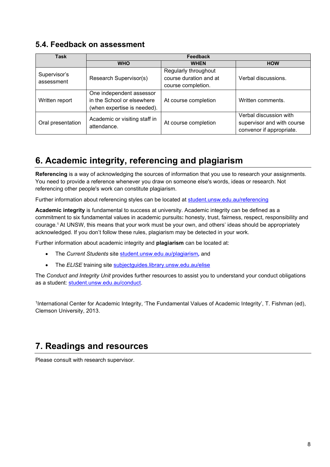#### **5.4. Feedback on assessment**

| <b>Task</b>                | Feedback                                                                              |                                                                      |                                                                                  |  |
|----------------------------|---------------------------------------------------------------------------------------|----------------------------------------------------------------------|----------------------------------------------------------------------------------|--|
|                            | <b>WHO</b>                                                                            | <b>WHEN</b>                                                          | <b>HOW</b>                                                                       |  |
| Supervisor's<br>assessment | Research Supervisor(s)                                                                | Regularly throughout<br>course duration and at<br>course completion. | Verbal discussions.                                                              |  |
| Written report             | One independent assessor<br>in the School or elsewhere<br>(when expertise is needed). | At course completion                                                 | Written comments.                                                                |  |
| Oral presentation          | Academic or visiting staff in<br>attendance.                                          | At course completion                                                 | Verbal discussion with<br>supervisor and with course<br>convenor if appropriate. |  |

## **6. Academic integrity, referencing and plagiarism**

**Referencing** is a way of acknowledging the sources of information that you use to research your assignments. You need to provide a reference whenever you draw on someone else's words, ideas or research. Not referencing other people's work can constitute plagiarism.

Further information about referencing styles can be located at [student.unsw.edu.au/referencing](https://student.unsw.edu.au/referencing)

**Academic integrity** is fundamental to success at university. Academic integrity can be defined as a commitment to six fundamental values in academic pursuits**:** honesty, trust, fairness, respect, responsibility and courage. <sup>1</sup> At UNSW, this means that your work must be your own, and others' ideas should be appropriately acknowledged. If you don't follow these rules, plagiarism may be detected in your work.

Further information about academic integrity and **plagiarism** can be located at:

- The *Current Students* site [student.unsw.edu.au/plagiarism](https://student.unsw.edu.au/plagiarism)*,* and
- The *ELISE* training site [subjectguides.library.unsw.edu.au/elise](http://subjectguides.library.unsw.edu.au/elise)

The *Conduct and Integrity Unit* provides further resources to assist you to understand your conduct obligations as a student: [student.unsw.edu.au/conduct.](https://student.unsw.edu.au/conduct)

1International Center for Academic Integrity, 'The Fundamental Values of Academic Integrity', T. Fishman (ed), Clemson University, 2013.

### **7. Readings and resources**

Please consult with research supervisor.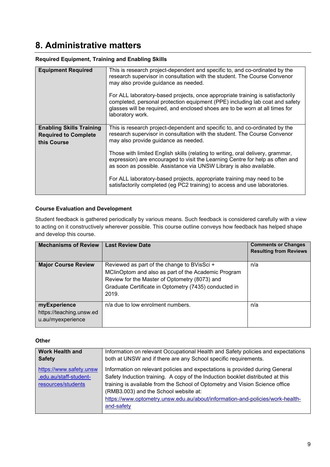## **8. Administrative matters**

#### **Required Equipment, Training and Enabling Skills**

| <b>Equipment Required</b>                                                     | This is research project-dependent and specific to, and co-ordinated by the<br>research supervisor in consultation with the student. The Course Convenor<br>may also provide guidance as needed.<br>For ALL laboratory-based projects, once appropriate training is satisfactorily<br>completed, personal protection equipment (PPE) including lab coat and safety<br>glasses will be required, and enclosed shoes are to be worn at all times for<br>laboratory work.                                                                                                                              |
|-------------------------------------------------------------------------------|-----------------------------------------------------------------------------------------------------------------------------------------------------------------------------------------------------------------------------------------------------------------------------------------------------------------------------------------------------------------------------------------------------------------------------------------------------------------------------------------------------------------------------------------------------------------------------------------------------|
| <b>Enabling Skills Training</b><br><b>Required to Complete</b><br>this Course | This is research project-dependent and specific to, and co-ordinated by the<br>research supervisor in consultation with the student. The Course Convenor<br>may also provide guidance as needed.<br>Those with limited English skills (relating to writing, oral delivery, grammar,<br>expression) are encouraged to visit the Learning Centre for help as often and<br>as soon as possible. Assistance via UNSW Library is also available.<br>For ALL laboratory-based projects, appropriate training may need to be<br>satisfactorily completed (eg PC2 training) to access and use laboratories. |
|                                                                               |                                                                                                                                                                                                                                                                                                                                                                                                                                                                                                                                                                                                     |

#### **Course Evaluation and Development**

Student feedback is gathered periodically by various means. Such feedback is considered carefully with a view to acting on it constructively wherever possible. This course outline conveys how feedback has helped shape and develop this course.

| Mechanisms of Review                                          | <b>Last Review Date</b>                                                                                                                                                                                               | <b>Comments or Changes</b><br><b>Resulting from Reviews</b> |
|---------------------------------------------------------------|-----------------------------------------------------------------------------------------------------------------------------------------------------------------------------------------------------------------------|-------------------------------------------------------------|
| <b>Major Course Review</b>                                    | Reviewed as part of the change to BVisSci +<br>MClinOptom and also as part of the Academic Program<br>Review for the Master of Optometry (8073) and<br>Graduate Certificate in Optometry (7435) conducted in<br>2019. | n/a                                                         |
| myExperience<br>https://teaching.unsw.ed<br>u.au/myexperience | n/a due to low enrolment numbers.                                                                                                                                                                                     | n/a                                                         |

#### **Other**

| <b>Work Health and</b><br>Information on relevant Occupational Health and Safety policies and expectations |                                                                                |
|------------------------------------------------------------------------------------------------------------|--------------------------------------------------------------------------------|
| <b>Safety</b>                                                                                              | both at UNSW and if there are any School specific requirements.                |
| https://www.safety.unsw                                                                                    | Information on relevant policies and expectations is provided during General   |
| .edu.au/staff-student-                                                                                     | Safety Induction training. A copy of the Induction booklet distributed at this |
| resources/students                                                                                         | training is available from the School of Optometry and Vision Science office   |
|                                                                                                            | (RMB3.003) and the School website at:                                          |
|                                                                                                            | https://www.optometry.unsw.edu.au/about/information-and-policies/work-health-  |
|                                                                                                            | and-safety                                                                     |
|                                                                                                            |                                                                                |